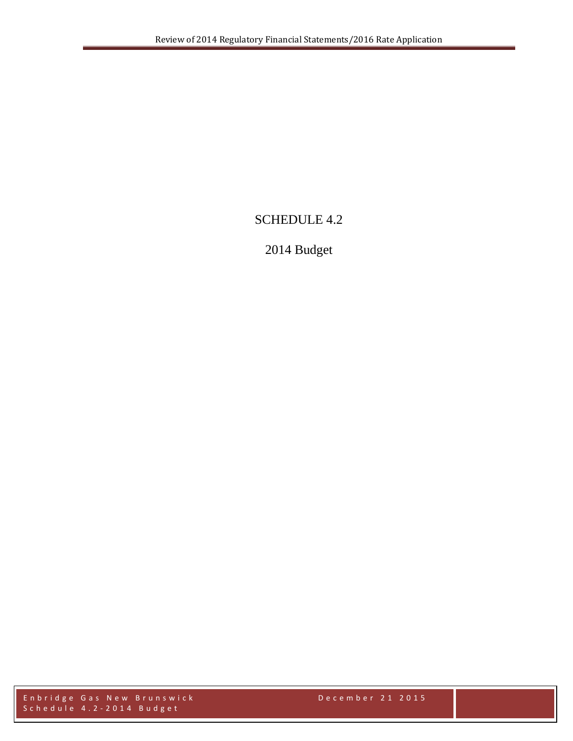# SCHEDULE 4.2

# 2014 Budget

Enbridge Gas New Brunswick December 2 1 2015 Schedule 4.2 - 2014 Budget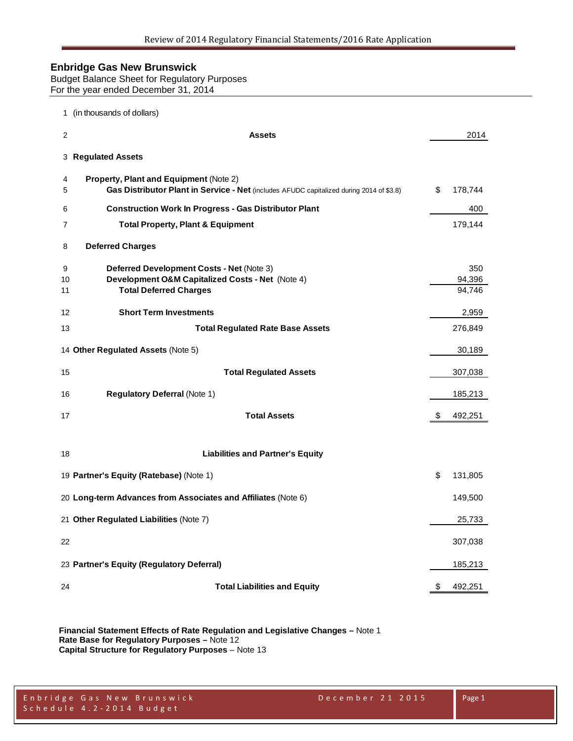Budget Balance Sheet for Regulatory Purposes For the year ended December 31, 2014

|                | 1 (in thousands of dollars)                                                                                                        |               |
|----------------|------------------------------------------------------------------------------------------------------------------------------------|---------------|
| $\overline{2}$ | <b>Assets</b>                                                                                                                      | 2014          |
|                | 3 Regulated Assets                                                                                                                 |               |
| 4<br>5         | Property, Plant and Equipment (Note 2)<br>Gas Distributor Plant in Service - Net (includes AFUDC capitalized during 2014 of \$3.8) | \$<br>178,744 |
| 6              | <b>Construction Work In Progress - Gas Distributor Plant</b>                                                                       | 400           |
| 7              | <b>Total Property, Plant &amp; Equipment</b>                                                                                       | 179,144       |
| 8              | <b>Deferred Charges</b>                                                                                                            |               |
| 9              | Deferred Development Costs - Net (Note 3)                                                                                          | 350           |
| 10             | Development O&M Capitalized Costs - Net (Note 4)                                                                                   | 94,396        |
| 11             | <b>Total Deferred Charges</b>                                                                                                      | 94,746        |
| 12             | <b>Short Term Investments</b>                                                                                                      | 2,959         |
| 13             | <b>Total Regulated Rate Base Assets</b>                                                                                            | 276,849       |
|                | 14 Other Regulated Assets (Note 5)                                                                                                 | 30,189        |
| 15             | <b>Total Regulated Assets</b>                                                                                                      | 307,038       |
| 16             | <b>Regulatory Deferral (Note 1)</b>                                                                                                | 185,213       |
| 17             | <b>Total Assets</b>                                                                                                                | \$<br>492,251 |
| 18             | <b>Liabilities and Partner's Equity</b>                                                                                            |               |
|                |                                                                                                                                    |               |
|                | 19 Partner's Equity (Ratebase) (Note 1)                                                                                            | \$<br>131,805 |
|                | 20 Long-term Advances from Associates and Affiliates (Note 6)                                                                      | 149,500       |
|                | 21 Other Regulated Liabilities (Note 7)                                                                                            | 25,733        |
| 22             |                                                                                                                                    | 307,038       |
|                | 23 Partner's Equity (Regulatory Deferral)                                                                                          | 185,213       |
| 24             | <b>Total Liabilities and Equity</b>                                                                                                | \$<br>492,251 |

**Financial Statement Effects of Rate Regulation and Legislative Changes –** Note 1 **Rate Base for Regulatory Purposes –** Note 12 **Capital Structure for Regulatory Purposes** – Note 13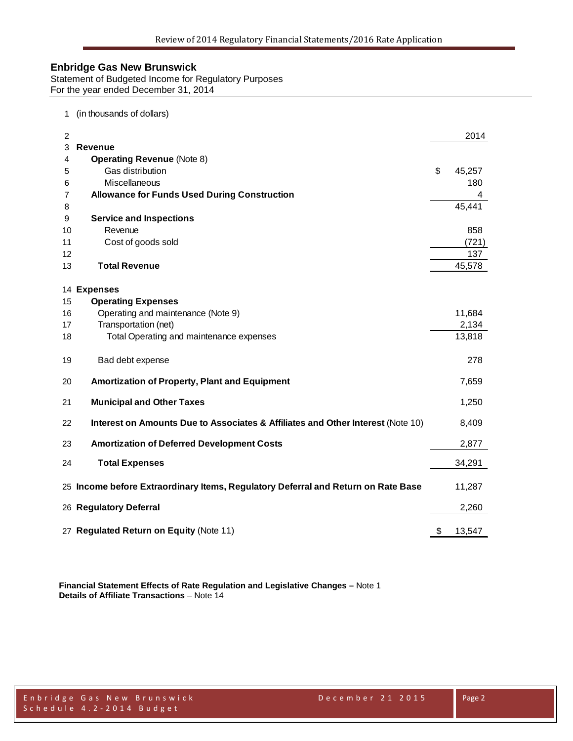Statement of Budgeted Income for Regulatory Purposes For the year ended December 31, 2014

#### 1 (in thousands of dollars)

| $\overline{c}$ |                                                                                   | 2014         |
|----------------|-----------------------------------------------------------------------------------|--------------|
| 3              | <b>Revenue</b>                                                                    |              |
| 4              | <b>Operating Revenue (Note 8)</b>                                                 |              |
| 5              | Gas distribution                                                                  | \$<br>45,257 |
| 6              | Miscellaneous                                                                     | 180          |
| 7              | <b>Allowance for Funds Used During Construction</b>                               | 4            |
| 8              |                                                                                   | 45,441       |
| 9              | <b>Service and Inspections</b>                                                    |              |
| 10             | Revenue                                                                           | 858          |
| 11             | Cost of goods sold                                                                | (721)        |
| 12             |                                                                                   | 137          |
| 13             | <b>Total Revenue</b>                                                              | 45,578       |
|                | 14 Expenses                                                                       |              |
| 15             | <b>Operating Expenses</b>                                                         |              |
| 16             | Operating and maintenance (Note 9)                                                | 11,684       |
| 17             | Transportation (net)                                                              | 2,134        |
| 18             | Total Operating and maintenance expenses                                          | 13,818       |
| 19             | Bad debt expense                                                                  | 278          |
| 20             | Amortization of Property, Plant and Equipment                                     | 7,659        |
| 21             | <b>Municipal and Other Taxes</b>                                                  | 1,250        |
| 22             | Interest on Amounts Due to Associates & Affiliates and Other Interest (Note 10)   | 8,409        |
| 23             | <b>Amortization of Deferred Development Costs</b>                                 | 2,877        |
| 24             | <b>Total Expenses</b>                                                             | 34,291       |
|                | 25 Income before Extraordinary Items, Regulatory Deferral and Return on Rate Base | 11,287       |
|                | 26 Regulatory Deferral                                                            | 2,260        |
|                | 27 Regulated Return on Equity (Note 11)                                           | \$<br>13,547 |

**Financial Statement Effects of Rate Regulation and Legislative Changes –** Note 1 **Details of Affiliate Transactions** – Note 14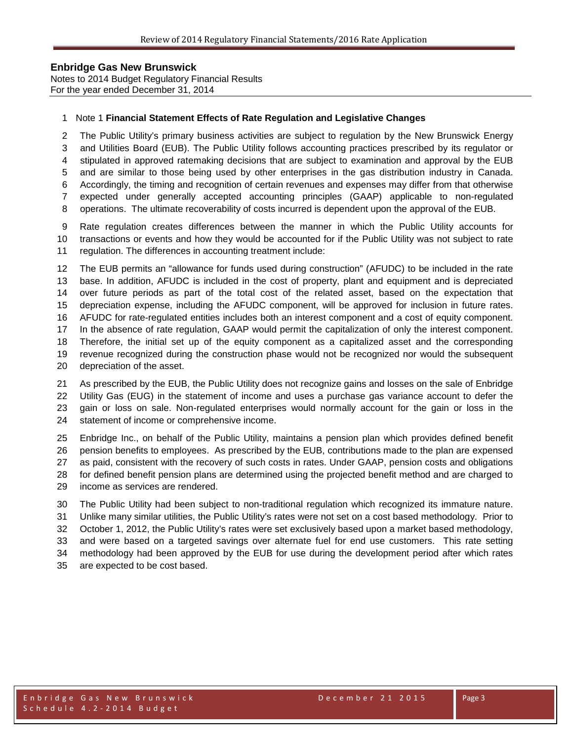Notes to 2014 Budget Regulatory Financial Results For the year ended December 31, 2014

#### Note 1 **Financial Statement Effects of Rate Regulation and Legislative Changes**

 The Public Utility's primary business activities are subject to regulation by the New Brunswick Energy and Utilities Board (EUB). The Public Utility follows accounting practices prescribed by its regulator or stipulated in approved ratemaking decisions that are subject to examination and approval by the EUB and are similar to those being used by other enterprises in the gas distribution industry in Canada. Accordingly, the timing and recognition of certain revenues and expenses may differ from that otherwise expected under generally accepted accounting principles (GAAP) applicable to non-regulated

operations. The ultimate recoverability of costs incurred is dependent upon the approval of the EUB.

 Rate regulation creates differences between the manner in which the Public Utility accounts for transactions or events and how they would be accounted for if the Public Utility was not subject to rate regulation. The differences in accounting treatment include:

 The EUB permits an "allowance for funds used during construction" (AFUDC) to be included in the rate base. In addition, AFUDC is included in the cost of property, plant and equipment and is depreciated over future periods as part of the total cost of the related asset, based on the expectation that depreciation expense, including the AFUDC component, will be approved for inclusion in future rates. AFUDC for rate-regulated entities includes both an interest component and a cost of equity component. In the absence of rate regulation, GAAP would permit the capitalization of only the interest component. Therefore, the initial set up of the equity component as a capitalized asset and the corresponding revenue recognized during the construction phase would not be recognized nor would the subsequent depreciation of the asset.

 As prescribed by the EUB, the Public Utility does not recognize gains and losses on the sale of Enbridge Utility Gas (EUG) in the statement of income and uses a purchase gas variance account to defer the gain or loss on sale. Non-regulated enterprises would normally account for the gain or loss in the statement of income or comprehensive income.

 Enbridge Inc., on behalf of the Public Utility, maintains a pension plan which provides defined benefit pension benefits to employees. As prescribed by the EUB, contributions made to the plan are expensed as paid, consistent with the recovery of such costs in rates. Under GAAP, pension costs and obligations for defined benefit pension plans are determined using the projected benefit method and are charged to income as services are rendered.

 The Public Utility had been subject to non-traditional regulation which recognized its immature nature. Unlike many similar utilities, the Public Utility's rates were not set on a cost based methodology. Prior to October 1, 2012, the Public Utility's rates were set exclusively based upon a market based methodology, and were based on a targeted savings over alternate fuel for end use customers. This rate setting methodology had been approved by the EUB for use during the development period after which rates are expected to be cost based.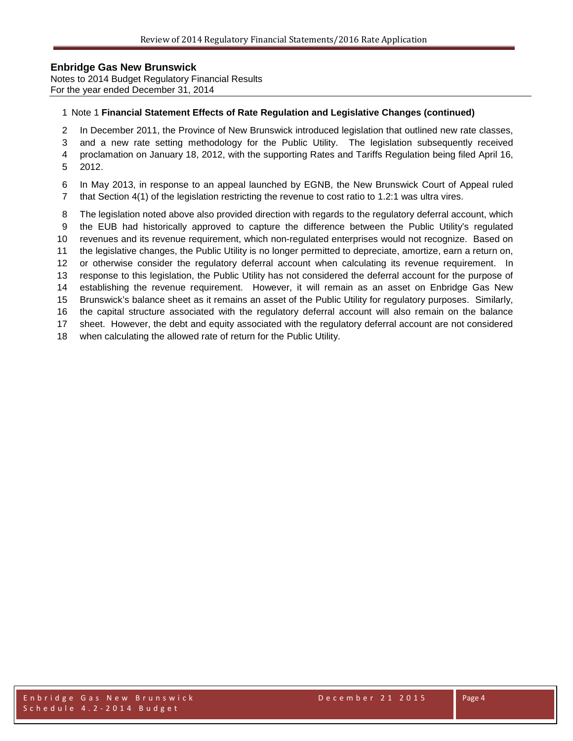Notes to 2014 Budget Regulatory Financial Results For the year ended December 31, 2014

#### Note 1 **Financial Statement Effects of Rate Regulation and Legislative Changes (continued)**

- In December 2011, the Province of New Brunswick introduced legislation that outlined new rate classes,
- and a new rate setting methodology for the Public Utility. The legislation subsequently received
- proclamation on January 18, 2012, with the supporting Rates and Tariffs Regulation being filed April 16,
- 2012.
- In May 2013, in response to an appeal launched by EGNB, the New Brunswick Court of Appeal ruled that Section 4(1) of the legislation restricting the revenue to cost ratio to 1.2:1 was ultra vires.
- The legislation noted above also provided direction with regards to the regulatory deferral account, which
- the EUB had historically approved to capture the difference between the Public Utility's regulated
- revenues and its revenue requirement, which non-regulated enterprises would not recognize. Based on
- the legislative changes, the Public Utility is no longer permitted to depreciate, amortize, earn a return on,
- or otherwise consider the regulatory deferral account when calculating its revenue requirement. In
- response to this legislation, the Public Utility has not considered the deferral account for the purpose of establishing the revenue requirement. However, it will remain as an asset on Enbridge Gas New
- Brunswick's balance sheet as it remains an asset of the Public Utility for regulatory purposes. Similarly,
- the capital structure associated with the regulatory deferral account will also remain on the balance
- sheet. However, the debt and equity associated with the regulatory deferral account are not considered
- when calculating the allowed rate of return for the Public Utility.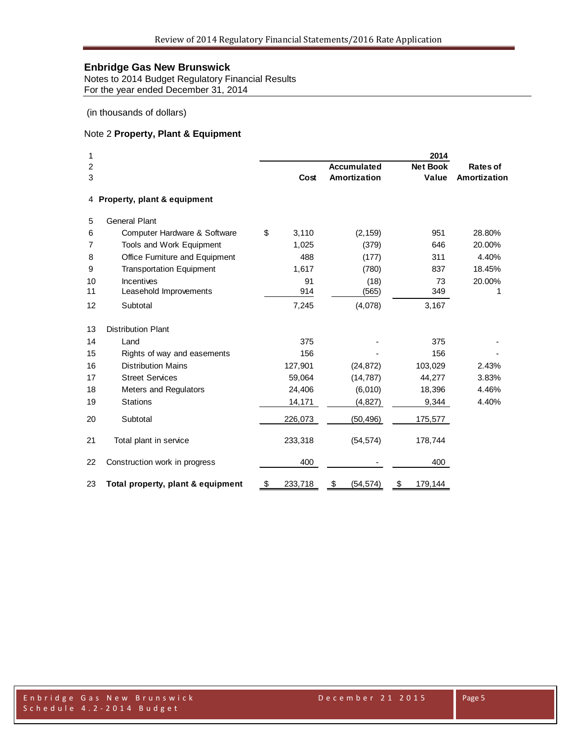Notes to 2014 Budget Regulatory Financial Results For the year ended December 31, 2014

(in thousands of dollars)

## Note 2 **Property, Plant & Equipment**

| 1  |                                   |               |                    | 2014            |              |
|----|-----------------------------------|---------------|--------------------|-----------------|--------------|
| 2  |                                   |               | <b>Accumulated</b> | <b>Net Book</b> | Rates of     |
| 3  |                                   | Cost          | Amortization       | Value           | Amortization |
|    | 4 Property, plant & equipment     |               |                    |                 |              |
| 5  | <b>General Plant</b>              |               |                    |                 |              |
| 6  | Computer Hardware & Software      | \$<br>3,110   | (2, 159)           | 951             | 28.80%       |
| 7  | Tools and Work Equipment          | 1,025         | (379)              | 646             | 20.00%       |
| 8  | Office Furniture and Equipment    | 488           | (177)              | 311             | 4.40%        |
| 9  | <b>Transportation Equipment</b>   | 1,617         | (780)              | 837             | 18.45%       |
| 10 | Incentives                        | 91            | (18)               | 73              | 20.00%       |
| 11 | Leasehold Improvements            | 914           | (565)              | 349             | 1            |
| 12 | Subtotal                          | 7,245         | (4,078)            | 3,167           |              |
| 13 | <b>Distribution Plant</b>         |               |                    |                 |              |
| 14 | Land                              | 375           |                    | 375             |              |
| 15 | Rights of way and easements       | 156           |                    | 156             |              |
| 16 | <b>Distribution Mains</b>         | 127,901       | (24, 872)          | 103,029         | 2.43%        |
| 17 | <b>Street Services</b>            | 59,064        | (14, 787)          | 44,277          | 3.83%        |
| 18 | <b>Meters and Regulators</b>      | 24,406        | (6,010)            | 18,396          | 4.46%        |
| 19 | <b>Stations</b>                   | 14,171        | (4, 827)           | 9,344           | 4.40%        |
| 20 | Subtotal                          | 226,073       | (50, 496)          | 175,577         |              |
| 21 | Total plant in service            | 233,318       | (54, 574)          | 178,744         |              |
| 22 | Construction work in progress     | 400           |                    | 400             |              |
| 23 | Total property, plant & equipment | \$<br>233,718 | \$<br>(54, 574)    | 179,144<br>\$   |              |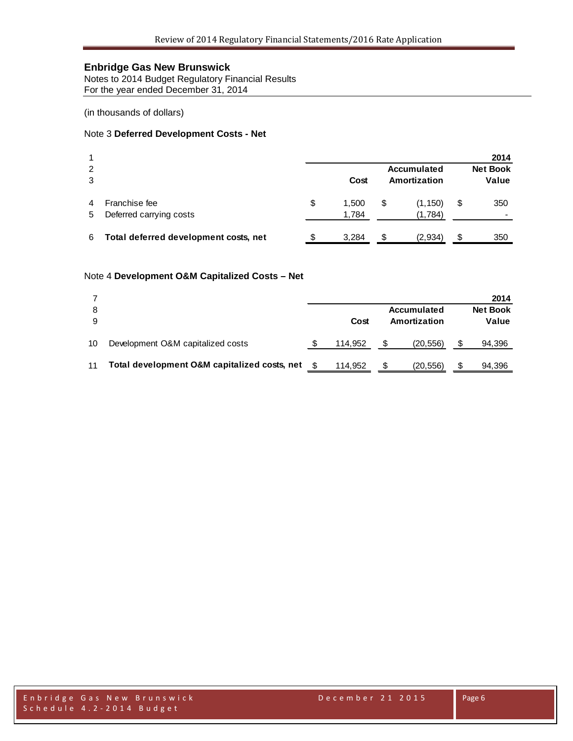Notes to 2014 Budget Regulatory Financial Results For the year ended December 31, 2014

(in thousands of dollars)

#### Note 3 **Deferred Development Costs - Net**

|        |                                          |    |                |                             |                     |    | 2014                     |
|--------|------------------------------------------|----|----------------|-----------------------------|---------------------|----|--------------------------|
| 2<br>3 |                                          |    | Cost           | Accumulated<br>Amortization |                     |    | <b>Net Book</b><br>Value |
| 5      | Franchise fee<br>Deferred carrying costs | \$ | 1.500<br>1,784 | \$                          | (1, 150)<br>(1,784) | \$ | 350                      |
| 6      | Total deferred development costs, net    |    | 3.284          | S                           | (2,934)             | S  | 350                      |

#### Note 4 **Development O&M Capitalized Costs – Net**

|    |                                              |         |              |             | 2014            |
|----|----------------------------------------------|---------|--------------|-------------|-----------------|
|    |                                              |         |              | Accumulated | <b>Net Book</b> |
|    |                                              | Cost    | Amortization |             | Value           |
| 10 | Development O&M capitalized costs            | 114.952 |              | (20, 556)   | 94,396          |
| 11 | Total development O&M capitalized costs, net | 114.952 |              | (20, 556)   | 94,396          |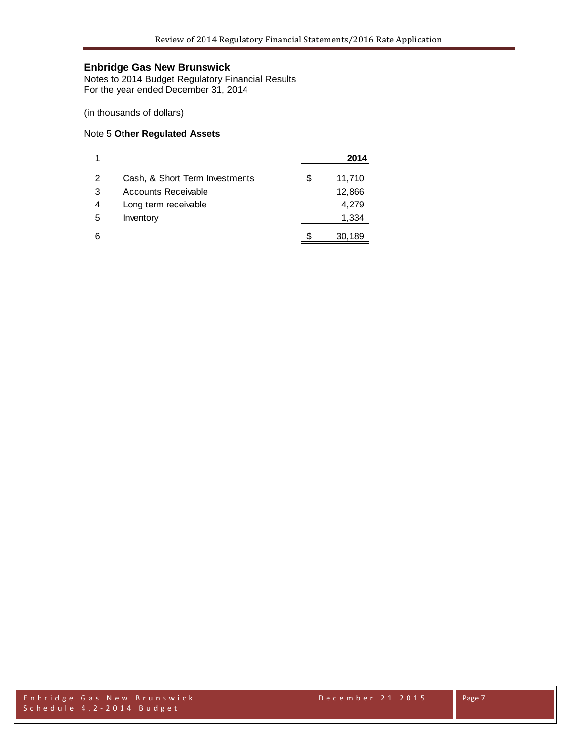Notes to 2014 Budget Regulatory Financial Results For the year ended December 31, 2014

(in thousands of dollars)

#### Note 5 **Other Regulated Assets**

|   |                                |   | 2014   |
|---|--------------------------------|---|--------|
| 2 | Cash, & Short Term Investments | S | 11,710 |
| 3 | Accounts Receivable            |   | 12,866 |
| 4 | Long term receivable           |   | 4,279  |
| 5 | Inventory                      |   | 1,334  |
| 6 |                                |   | 30,189 |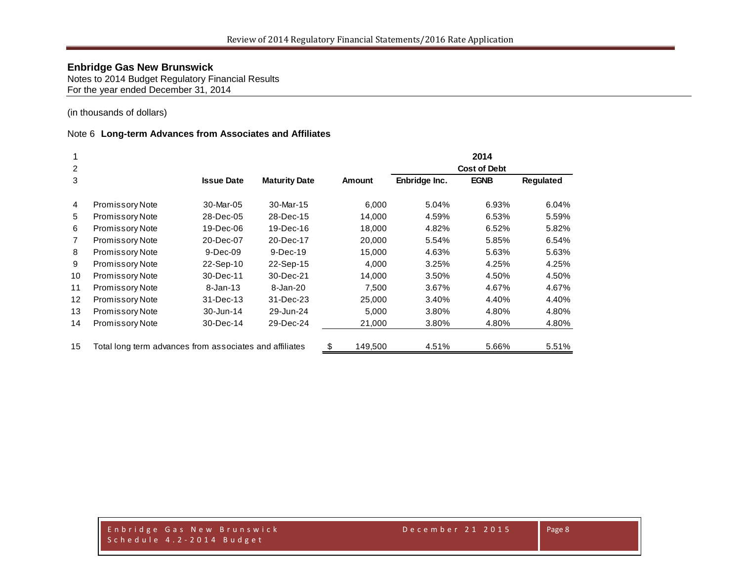Notes to 2014 Budget Regulatory Financial Results For the year ended December 31, 2014

(in thousands of dollars)

#### Note 6 **Long-term Advances from Associates and Affiliates**

|                |                                                         |                   |                      |               | 2014                |             |                  |  |  |
|----------------|---------------------------------------------------------|-------------------|----------------------|---------------|---------------------|-------------|------------------|--|--|
| $\overline{2}$ |                                                         |                   |                      |               | <b>Cost of Debt</b> |             |                  |  |  |
| 3              |                                                         | <b>Issue Date</b> | <b>Maturity Date</b> | <b>Amount</b> | Enbridge Inc.       | <b>EGNB</b> | <b>Requlated</b> |  |  |
| 4              | <b>Promissory Note</b>                                  | 30-Mar-05         | 30-Mar-15            | 6,000         | 5.04%               | 6.93%       | 6.04%            |  |  |
| 5              | Promissory Note                                         | 28-Dec-05         | 28-Dec-15            | 14,000        | 4.59%               | 6.53%       | 5.59%            |  |  |
| 6              | <b>Promissory Note</b>                                  | 19-Dec-06         | 19-Dec-16            | 18,000        | 4.82%               | 6.52%       | 5.82%            |  |  |
| $\overline{7}$ | <b>Promissory Note</b>                                  | 20-Dec-07         | 20-Dec-17            | 20,000        | 5.54%               | 5.85%       | 6.54%            |  |  |
| 8              | <b>Promissory Note</b>                                  | $9-Dec-09$        | 9-Dec-19             | 15,000        | 4.63%               | 5.63%       | 5.63%            |  |  |
| 9              | Promissory Note                                         | 22-Sep-10         | 22-Sep-15            | 4,000         | 3.25%               | 4.25%       | 4.25%            |  |  |
| 10             | <b>Promissory Note</b>                                  | 30-Dec-11         | 30-Dec-21            | 14,000        | 3.50%               | 4.50%       | 4.50%            |  |  |
| 11             | <b>Promissory Note</b>                                  | 8-Jan-13          | 8-Jan-20             | 7.500         | 3.67%               | 4.67%       | 4.67%            |  |  |
| 12             | <b>Promissory Note</b>                                  | 31-Dec-13         | 31-Dec-23            | 25,000        | 3.40%               | 4.40%       | 4.40%            |  |  |
| 13             | Promissory Note                                         | 30-Jun-14         | 29-Jun-24            | 5,000         | 3.80%               | 4.80%       | 4.80%            |  |  |
| 14             | <b>Promissory Note</b>                                  | 30-Dec-14         | 29-Dec-24            | 21,000        | 3.80%               | 4.80%       | 4.80%            |  |  |
| 15             | Total long term advances from associates and affiliates |                   |                      | \$<br>149,500 | 4.51%               | 5.66%       | 5.51%            |  |  |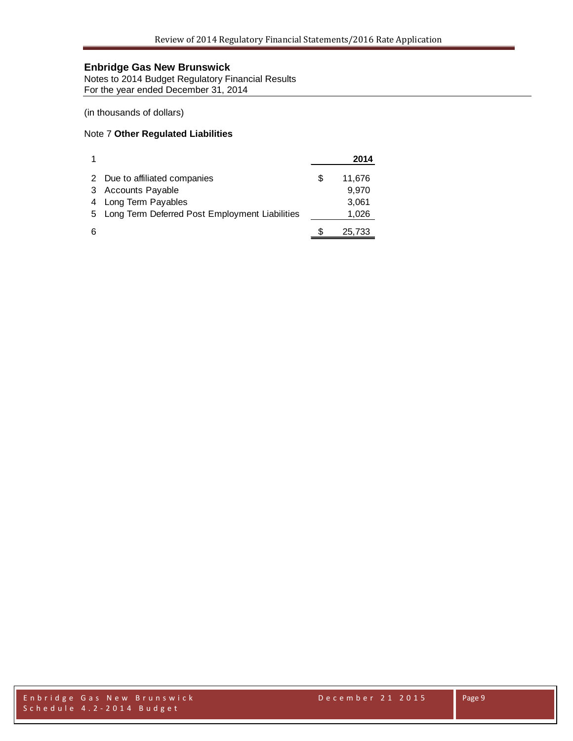Notes to 2014 Budget Regulatory Financial Results For the year ended December 31, 2014

(in thousands of dollars)

#### Note 7 **Other Regulated Liabilities**

|   |                                                  |   | 2014   |
|---|--------------------------------------------------|---|--------|
|   | 2 Due to affiliated companies                    | S | 11,676 |
| 3 | <b>Accounts Payable</b>                          |   | 9,970  |
| 4 | Long Term Payables                               |   | 3,061  |
|   | 5 Long Term Deferred Post Employment Liabilities |   | 1,026  |
| 6 |                                                  |   | 25,733 |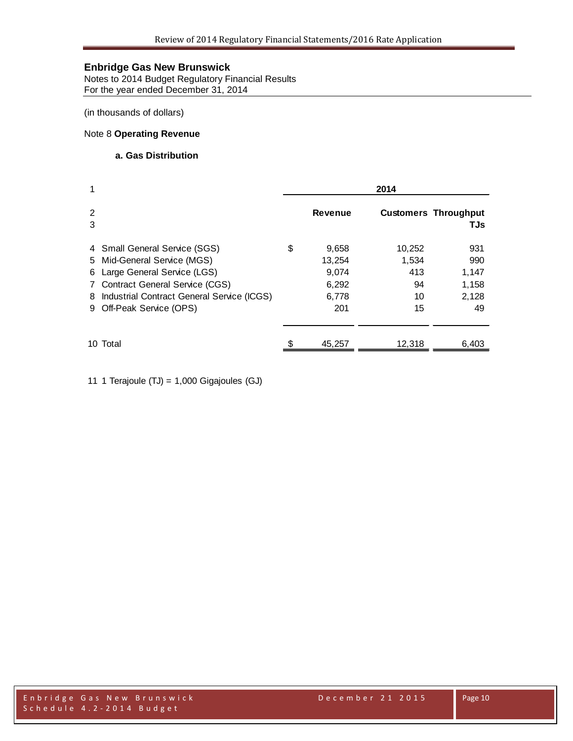Notes to 2014 Budget Regulatory Financial Results For the year ended December 31, 2014

(in thousands of dollars)

# Note 8 **Operating Revenue**

#### **a. Gas Distribution**

| 1      |                                                                                                                                                                                                               | 2014 |                                                   |                                          |                                             |  |
|--------|---------------------------------------------------------------------------------------------------------------------------------------------------------------------------------------------------------------|------|---------------------------------------------------|------------------------------------------|---------------------------------------------|--|
| 2<br>3 |                                                                                                                                                                                                               |      | <b>Revenue</b>                                    |                                          | <b>Customers Throughput</b><br>TJs          |  |
|        | 4 Small General Service (SGS)<br>5 Mid-General Service (MGS)<br>6 Large General Service (LGS)<br>7 Contract General Service (CGS)<br>8 Industrial Contract General Service (ICGS)<br>9 Off-Peak Service (OPS) | \$   | 9,658<br>13,254<br>9,074<br>6,292<br>6,778<br>201 | 10,252<br>1,534<br>413<br>94<br>10<br>15 | 931<br>990<br>1,147<br>1,158<br>2,128<br>49 |  |
|        | 10 Total                                                                                                                                                                                                      |      | 45,257                                            | 12,318                                   | 6,403                                       |  |

11 1 Terajoule (TJ) = 1,000 Gigajoules (GJ)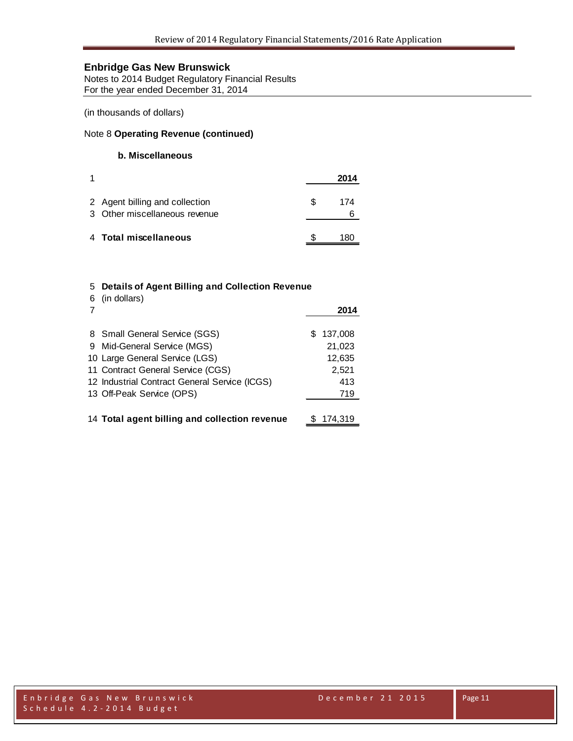Notes to 2014 Budget Regulatory Financial Results For the year ended December 31, 2014

(in thousands of dollars)

# Note 8 **Operating Revenue (continued)**

## **b. Miscellaneous**

|                                                                 |    | 2014 |
|-----------------------------------------------------------------|----|------|
| 2 Agent billing and collection<br>3 Other miscellaneous revenue | S. | 174  |
| 4 Total miscellaneous                                           |    |      |

#### 5 **Details of Agent Billing and Collection Revenue** 6 (in dollars)

|                                                                     |    | 2014            |
|---------------------------------------------------------------------|----|-----------------|
| 8 Small General Service (SGS)                                       | S. | 137,008         |
| 9 Mid-General Service (MGS)                                         |    | 21,023          |
| 10 Large General Service (LGS)<br>11 Contract General Service (CGS) |    | 12,635<br>2,521 |
| 12 Industrial Contract General Service (ICGS)                       |    | 413             |
| 13 Off-Peak Service (OPS)                                           |    | 719             |
|                                                                     |    |                 |
| 14 Total agent billing and collection revenue                       |    | 174.319         |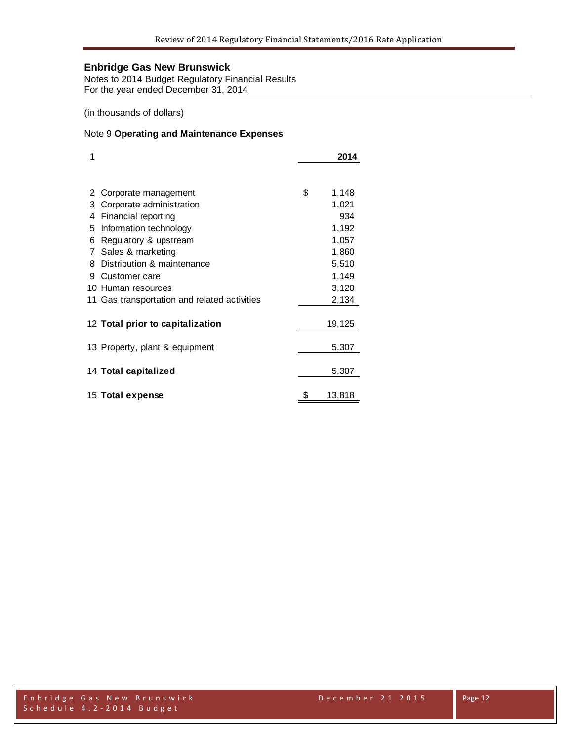Notes to 2014 Budget Regulatory Financial Results For the year ended December 31, 2014

(in thousands of dollars)

#### Note 9 **Operating and Maintenance Expenses**

| 1 |                                              | 2014        |
|---|----------------------------------------------|-------------|
|   |                                              |             |
| 2 | Corporate management                         | \$<br>1,148 |
| 3 | Corporate administration                     | 1,021       |
| 4 | Financial reporting                          | 934         |
| 5 | Information technology                       | 1,192       |
| 6 | Regulatory & upstream                        | 1,057       |
| 7 | Sales & marketing                            | 1,860       |
| 8 | Distribution & maintenance                   | 5,510       |
| 9 | Customer care                                | 1,149       |
|   | 10 Human resources                           | 3,120       |
|   | 11 Gas transportation and related activities | 2,134       |
|   | 12 Total prior to capitalization             | 19,125      |
|   |                                              |             |
|   | 13 Property, plant & equipment               | 5,307       |
|   | 14 Total capitalized                         | 5,307       |
|   | 15 Total expense                             | 13,818      |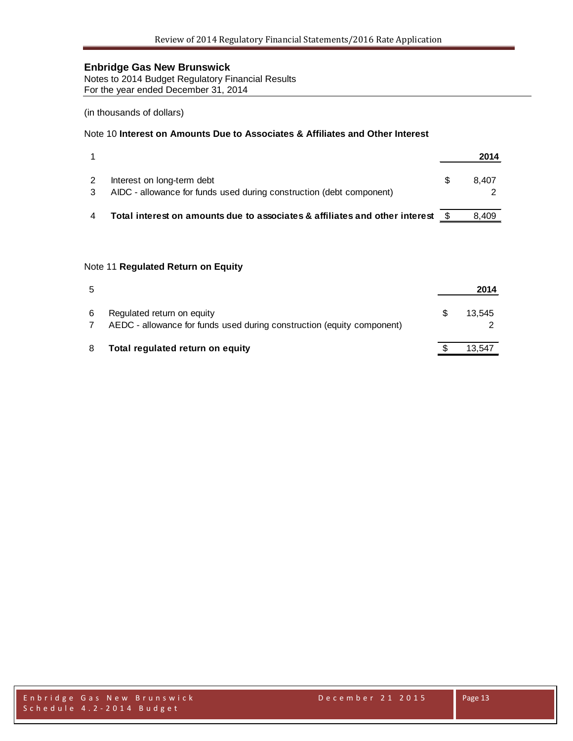Notes to 2014 Budget Regulatory Financial Results For the year ended December 31, 2014

#### (in thousands of dollars)

# Note 10 **Interest on Amounts Due to Associates & Affiliates and Other Interest**

|                                                                                                    | 2014  |
|----------------------------------------------------------------------------------------------------|-------|
| Interest on long-term debt<br>AIDC - allowance for funds used during construction (debt component) | 8.407 |
| Total interest on amounts due to associates & affiliates and other interest                        | 8.409 |

#### Note 11 **Regulated Return on Equity**

| 5 |                                                                                                      | 2014   |
|---|------------------------------------------------------------------------------------------------------|--------|
| 6 | Regulated return on equity<br>AEDC - allowance for funds used during construction (equity component) | 13.545 |
| 8 | Total regulated return on equity                                                                     | 13,547 |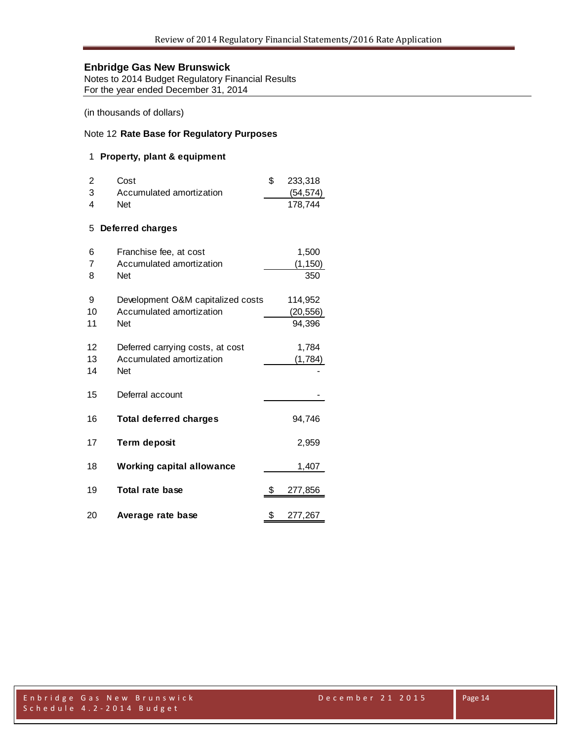Notes to 2014 Budget Regulatory Financial Results For the year ended December 31, 2014

(in thousands of dollars)

# Note 12 **Rate Base for Regulatory Purposes**

## **Property, plant & equipment**

|    | Cost                     | 233.318   |
|----|--------------------------|-----------|
| -3 | Accumulated amortization | (54, 574) |
|    | Net                      | 178.744   |

#### **Deferred charges**

| 6  | Franchise fee, at cost            |    | 1,500     |
|----|-----------------------------------|----|-----------|
| 7  | Accumulated amortization          |    | (1, 150)  |
| 8  | <b>Net</b>                        |    | 350       |
|    |                                   |    |           |
| 9  | Development O&M capitalized costs |    | 114,952   |
| 10 | Accumulated amortization          |    | (20, 556) |
| 11 | <b>Net</b>                        |    | 94,396    |
| 12 | Deferred carrying costs, at cost  |    | 1,784     |
| 13 | Accumulated amortization          |    | (1,784)   |
| 14 | <b>Net</b>                        |    |           |
|    |                                   |    |           |
| 15 | Deferral account                  |    |           |
| 16 | <b>Total deferred charges</b>     |    | 94,746    |
| 17 | <b>Term deposit</b>               |    | 2,959     |
| 18 | <b>Working capital allowance</b>  |    | 1,407     |
| 19 | Total rate base                   | S  | 277,856   |
| 20 | Average rate base                 | \$ | 277,267   |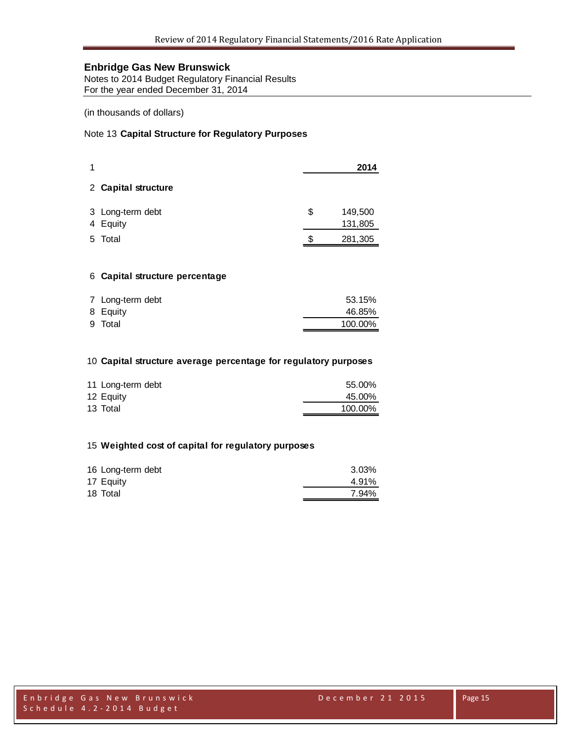Notes to 2014 Budget Regulatory Financial Results For the year ended December 31, 2014

(in thousands of dollars)

## Note 13 **Capital Structure for Regulatory Purposes**

|    |                              |    | 2014               |
|----|------------------------------|----|--------------------|
|    | 2 Capital structure          |    |                    |
|    | 3 Long-term debt<br>4 Equity | \$ | 149,500<br>131,805 |
| 5. | Total                        | S  | 281,305            |

#### **Capital structure percentage**

| 7 Long-term debt | 53.15%  |
|------------------|---------|
| 8 Equity         | 46.85%  |
| 9 Total          | 100.00% |

#### **Capital structure average percentage for regulatory purposes**

| 11 Long-term debt | 55.00%  |
|-------------------|---------|
| 12 Equity         | 45.00%  |
| 13 Total          | 100.00% |

#### **Weighted cost of capital for regulatory purposes**

| 16 Long-term debt | 3.03% |
|-------------------|-------|
| 17 Equity         | 4.91% |
| 18 Total          | 7.94% |